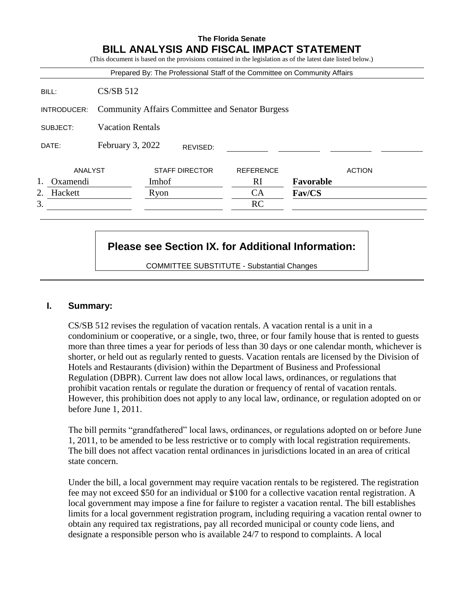# **The Florida Senate BILL ANALYSIS AND FISCAL IMPACT STATEMENT** (This document is based on the provisions contained in the legislation as of the latest date listed below.) Prepared By: The Professional Staff of the Committee on Community Affairs BILL: CS/SB 512 INTRODUCER: Community Affairs Committee and Senator Burgess SUBJECT: Vacation Rentals DATE: February 3, 2022 ANALYST STAFF DIRECTOR REFERENCE ACTION 1. Oxamendi Imhof RI **Favorable** 2. Hackett **Ryon** CA **Fav/CS**  $3.$  RC REVISED:

# **Please see Section IX. for Additional Information:**

COMMITTEE SUBSTITUTE - Substantial Changes

## **I. Summary:**

CS/SB 512 revises the regulation of vacation rentals. A vacation rental is a unit in a condominium or cooperative, or a single, two, three, or four family house that is rented to guests more than three times a year for periods of less than 30 days or one calendar month, whichever is shorter, or held out as regularly rented to guests. Vacation rentals are licensed by the Division of Hotels and Restaurants (division) within the Department of Business and Professional Regulation (DBPR). Current law does not allow local laws, ordinances, or regulations that prohibit vacation rentals or regulate the duration or frequency of rental of vacation rentals. However, this prohibition does not apply to any local law, ordinance, or regulation adopted on or before June 1, 2011.

The bill permits "grandfathered" local laws, ordinances, or regulations adopted on or before June 1, 2011, to be amended to be less restrictive or to comply with local registration requirements. The bill does not affect vacation rental ordinances in jurisdictions located in an area of critical state concern.

Under the bill, a local government may require vacation rentals to be registered. The registration fee may not exceed \$50 for an individual or \$100 for a collective vacation rental registration. A local government may impose a fine for failure to register a vacation rental. The bill establishes limits for a local government registration program, including requiring a vacation rental owner to obtain any required tax registrations, pay all recorded municipal or county code liens, and designate a responsible person who is available 24/7 to respond to complaints. A local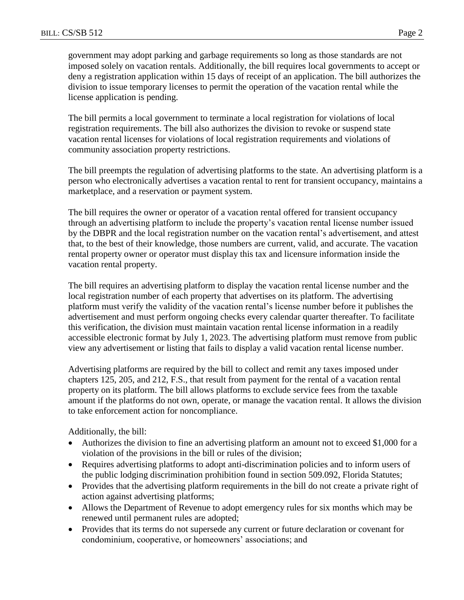government may adopt parking and garbage requirements so long as those standards are not imposed solely on vacation rentals. Additionally, the bill requires local governments to accept or deny a registration application within 15 days of receipt of an application. The bill authorizes the division to issue temporary licenses to permit the operation of the vacation rental while the license application is pending.

The bill permits a local government to terminate a local registration for violations of local registration requirements. The bill also authorizes the division to revoke or suspend state vacation rental licenses for violations of local registration requirements and violations of community association property restrictions.

The bill preempts the regulation of advertising platforms to the state. An advertising platform is a person who electronically advertises a vacation rental to rent for transient occupancy, maintains a marketplace, and a reservation or payment system.

The bill requires the owner or operator of a vacation rental offered for transient occupancy through an advertising platform to include the property's vacation rental license number issued by the DBPR and the local registration number on the vacation rental's advertisement, and attest that, to the best of their knowledge, those numbers are current, valid, and accurate. The vacation rental property owner or operator must display this tax and licensure information inside the vacation rental property.

The bill requires an advertising platform to display the vacation rental license number and the local registration number of each property that advertises on its platform. The advertising platform must verify the validity of the vacation rental's license number before it publishes the advertisement and must perform ongoing checks every calendar quarter thereafter. To facilitate this verification, the division must maintain vacation rental license information in a readily accessible electronic format by July 1, 2023. The advertising platform must remove from public view any advertisement or listing that fails to display a valid vacation rental license number.

Advertising platforms are required by the bill to collect and remit any taxes imposed under chapters 125, 205, and 212, F.S., that result from payment for the rental of a vacation rental property on its platform. The bill allows platforms to exclude service fees from the taxable amount if the platforms do not own, operate, or manage the vacation rental. It allows the division to take enforcement action for noncompliance.

Additionally, the bill:

- Authorizes the division to fine an advertising platform an amount not to exceed \$1,000 for a violation of the provisions in the bill or rules of the division;
- Requires advertising platforms to adopt anti-discrimination policies and to inform users of the public lodging discrimination prohibition found in section 509.092, Florida Statutes;
- Provides that the advertising platform requirements in the bill do not create a private right of action against advertising platforms;
- Allows the Department of Revenue to adopt emergency rules for six months which may be renewed until permanent rules are adopted;
- Provides that its terms do not supersede any current or future declaration or covenant for condominium, cooperative, or homeowners' associations; and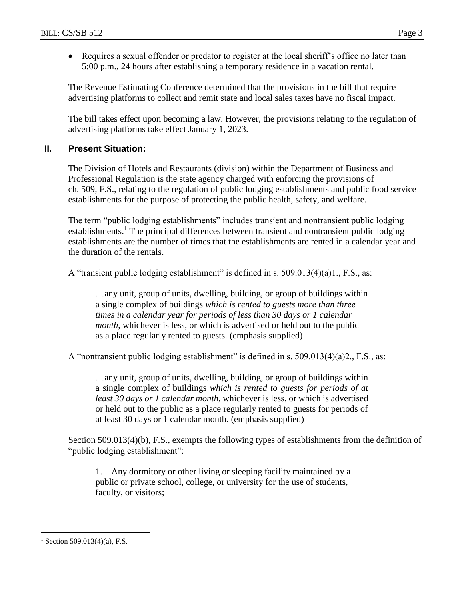• Requires a sexual offender or predator to register at the local sheriff's office no later than 5:00 p.m., 24 hours after establishing a temporary residence in a vacation rental.

The Revenue Estimating Conference determined that the provisions in the bill that require advertising platforms to collect and remit state and local sales taxes have no fiscal impact.

The bill takes effect upon becoming a law. However, the provisions relating to the regulation of advertising platforms take effect January 1, 2023.

## **II. Present Situation:**

The Division of Hotels and Restaurants (division) within the Department of Business and Professional Regulation is the state agency charged with enforcing the provisions of ch. 509, F.S., relating to the regulation of public lodging establishments and public food service establishments for the purpose of protecting the public health, safety, and welfare.

The term "public lodging establishments" includes transient and nontransient public lodging establishments.<sup>1</sup> The principal differences between transient and nontransient public lodging establishments are the number of times that the establishments are rented in a calendar year and the duration of the rentals.

A "transient public lodging establishment" is defined in s. 509.013(4)(a)1., F.S., as:

…any unit, group of units, dwelling, building, or group of buildings within a single complex of buildings *which is rented to guests more than three times in a calendar year for periods of less than 30 days or 1 calendar month*, whichever is less, or which is advertised or held out to the public as a place regularly rented to guests. (emphasis supplied)

A "nontransient public lodging establishment" is defined in s. 509.013(4)(a)2., F.S., as:

…any unit, group of units, dwelling, building, or group of buildings within a single complex of buildings *which is rented to guests for periods of at least 30 days or 1 calendar month*, whichever is less, or which is advertised or held out to the public as a place regularly rented to guests for periods of at least 30 days or 1 calendar month. (emphasis supplied)

Section 509.013(4)(b), F.S., exempts the following types of establishments from the definition of "public lodging establishment":

1. Any dormitory or other living or sleeping facility maintained by a public or private school, college, or university for the use of students, faculty, or visitors;

<sup>&</sup>lt;sup>1</sup> Section 509.013(4)(a), F.S.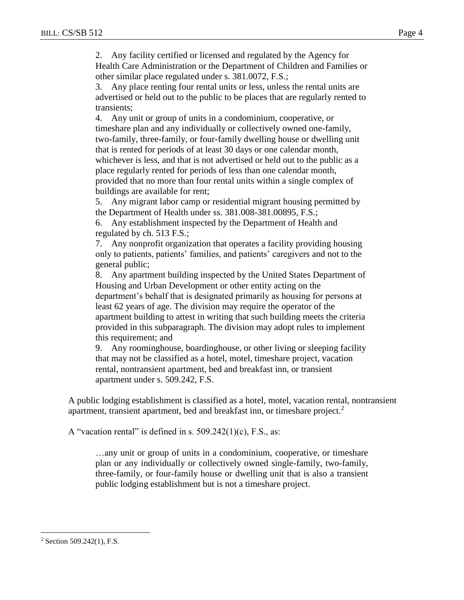2. Any facility certified or licensed and regulated by the Agency for Health Care Administration or the Department of Children and Families or other similar place regulated under s. 381.0072, F.S.;

3. Any place renting four rental units or less, unless the rental units are advertised or held out to the public to be places that are regularly rented to transients;

4. Any unit or group of units in a condominium, cooperative, or timeshare plan and any individually or collectively owned one-family, two-family, three-family, or four-family dwelling house or dwelling unit that is rented for periods of at least 30 days or one calendar month, whichever is less, and that is not advertised or held out to the public as a place regularly rented for periods of less than one calendar month, provided that no more than four rental units within a single complex of buildings are available for rent;

5. Any migrant labor camp or residential migrant housing permitted by the Department of Health under ss. 381.008-381.00895, F.S.;

6. Any establishment inspected by the Department of Health and regulated by ch. 513 F.S.;

7. Any nonprofit organization that operates a facility providing housing only to patients, patients' families, and patients' caregivers and not to the general public;

8. Any apartment building inspected by the United States Department of Housing and Urban Development or other entity acting on the department's behalf that is designated primarily as housing for persons at least 62 years of age. The division may require the operator of the apartment building to attest in writing that such building meets the criteria provided in this subparagraph. The division may adopt rules to implement this requirement; and

9. Any roominghouse, boardinghouse, or other living or sleeping facility that may not be classified as a hotel, motel, timeshare project, vacation rental, nontransient apartment, bed and breakfast inn, or transient apartment under s. 509.242, F.S.

A public lodging establishment is classified as a hotel, motel, vacation rental, nontransient apartment, transient apartment, bed and breakfast inn, or timeshare project.<sup>2</sup>

A "vacation rental" is defined in s.  $509.242(1)(c)$ , F.S., as:

…any unit or group of units in a condominium, cooperative, or timeshare plan or any individually or collectively owned single-family, two-family, three-family, or four-family house or dwelling unit that is also a transient public lodging establishment but is not a timeshare project.

<sup>2</sup> Section 509.242(1), F.S.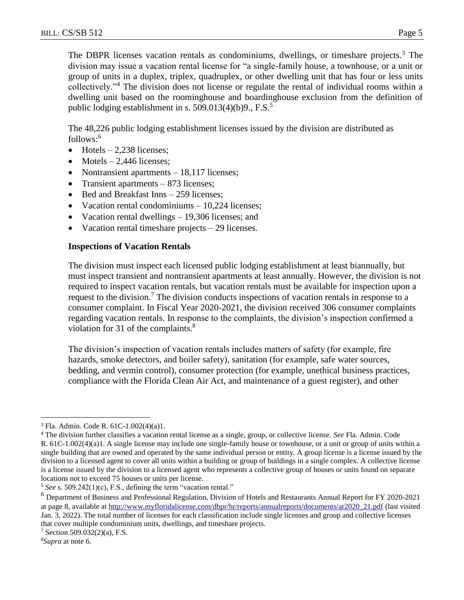The DBPR licenses vacation rentals as condominiums, dwellings, or timeshare projects.<sup>3</sup> The division may issue a vacation rental license for "a single-family house, a townhouse, or a unit or group of units in a duplex, triplex, quadruplex, or other dwelling unit that has four or less units collectively."<sup>4</sup> The division does not license or regulate the rental of individual rooms within a dwelling unit based on the roominghouse and boardinghouse exclusion from the definition of public lodging establishment in s. 509.013(4)(b)9.,  $F.S.<sup>5</sup>$ 

The 48,226 public lodging establishment licenses issued by the division are distributed as  $follows: 6$ 

- $\bullet$  Hotels 2,238 licenses;
- $\bullet$  Motels 2,446 licenses;
- Nontransient apartments 18,117 licenses;
- Transient apartments 873 licenses;
- Bed and Breakfast Inns 259 licenses;
- Vacation rental condominiums 10,224 licenses;
- Vacation rental dwellings 19,306 licenses; and
- Vacation rental timeshare projects 29 licenses.

## **Inspections of Vacation Rentals**

The division must inspect each licensed public lodging establishment at least biannually, but must inspect transient and nontransient apartments at least annually. However, the division is not required to inspect vacation rentals, but vacation rentals must be available for inspection upon a request to the division.<sup>7</sup> The division conducts inspections of vacation rentals in response to a consumer complaint. In Fiscal Year 2020-2021, the division received 306 consumer complaints regarding vacation rentals. In response to the complaints, the division's inspection confirmed a violation for 31 of the complaints.<sup>8</sup>

The division's inspection of vacation rentals includes matters of safety (for example, fire hazards, smoke detectors, and boiler safety), sanitation (for example, safe water sources, bedding, and vermin control), consumer protection (for example, unethical business practices, compliance with the Florida Clean Air Act, and maintenance of a guest register), and other

 $\overline{a}$ <sup>3</sup> Fla. Admin. Code R. 61C-1.002(4)(a)1.

<sup>4</sup> The division further classifies a vacation rental license as a single, group, or collective license. *See* Fla. Admin. Code R. 61C-1.002(4)(a)1. A single license may include one single-family house or townhouse, or a unit or group of units within a single building that are owned and operated by the same individual person or entity. A group license is a license issued by the division to a licensed agent to cover all units within a building or group of buildings in a single complex. A collective license is a license issued by the division to a licensed agent who represents a collective group of houses or units found on separate locations not to exceed 75 houses or units per license.

<sup>5</sup> *See* s. 509.242(1)(c), F.S., defining the term "vacation rental."

<sup>6</sup> Department of Business and Professional Regulation, Division of Hotels and Restaurants Annual Report for FY 2020-2021 at page 8, available at [http://www.myfloridalicense.com/dbpr/hr/reports/annualreports/documents/ar2020\\_21.pdf](http://www.myfloridalicense.com/dbpr/hr/reports/annualreports/documents/ar2020_21.pdf) (last visited Jan. 3, 2022). The total number of licenses for each classification include single licenses and group and collective licenses that cover multiple condominium units, dwellings, and timeshare projects.

 $7$  Section 509.032(2)(a), F.S.

*<sup>8</sup>Supra* at note 6.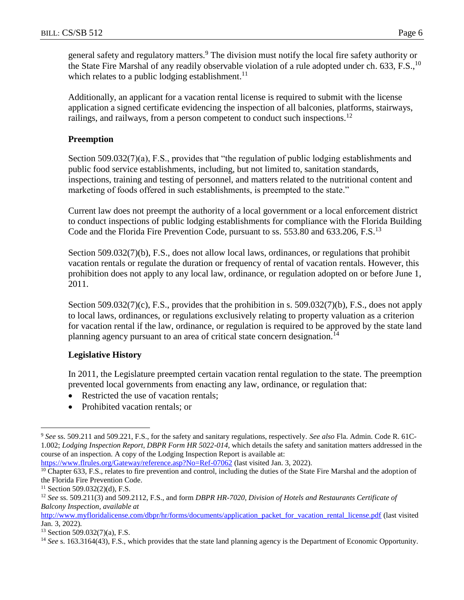general safety and regulatory matters.<sup>9</sup> The division must notify the local fire safety authority or the State Fire Marshal of any readily observable violation of a rule adopted under ch. 633, F.S.,  $^{10}$ which relates to a public lodging establishment.<sup>11</sup>

Additionally, an applicant for a vacation rental license is required to submit with the license application a signed certificate evidencing the inspection of all balconies, platforms, stairways, railings, and railways, from a person competent to conduct such inspections.<sup>12</sup>

## **Preemption**

Section 509.032(7)(a), F.S., provides that "the regulation of public lodging establishments and public food service establishments, including, but not limited to, sanitation standards, inspections, training and testing of personnel, and matters related to the nutritional content and marketing of foods offered in such establishments, is preempted to the state."

Current law does not preempt the authority of a local government or a local enforcement district to conduct inspections of public lodging establishments for compliance with the Florida Building Code and the Florida Fire Prevention Code, pursuant to ss. 553.80 and 633.206, F.S.<sup>13</sup>

Section 509.032(7)(b), F.S., does not allow local laws, ordinances, or regulations that prohibit vacation rentals or regulate the duration or frequency of rental of vacation rentals. However, this prohibition does not apply to any local law, ordinance, or regulation adopted on or before June 1, 2011.

Section 509.032(7)(c), F.S., provides that the prohibition in s. 509.032(7)(b), F.S., does not apply to local laws, ordinances, or regulations exclusively relating to property valuation as a criterion for vacation rental if the law, ordinance, or regulation is required to be approved by the state land planning agency pursuant to an area of critical state concern designation.<sup>14</sup>

## **Legislative History**

In 2011, the Legislature preempted certain vacation rental regulation to the state. The preemption prevented local governments from enacting any law, ordinance, or regulation that:

- Restricted the use of vacation rentals;
- Prohibited vacation rentals; or

<https://www.flrules.org/Gateway/reference.asp?No=Ref-07062> (last visited Jan. 3, 2022).

<sup>9</sup> *See* ss. 509.211 and 509.221, F.S., for the safety and sanitary regulations, respectively. *See also* Fla. Admin. Code R. 61C-1.002; *Lodging Inspection Report, DBPR Form HR 5022-014*, which details the safety and sanitation matters addressed in the course of an inspection. A copy of the Lodging Inspection Report is available at:

<sup>&</sup>lt;sup>10</sup> Chapter 633, F.S., relates to fire prevention and control, including the duties of the State Fire Marshal and the adoption of the Florida Fire Prevention Code.

 $11$  Section 509.032(2)(d), F.S.

<sup>12</sup> *See* ss. 509.211(3) and 509.2112, F.S., and form *DBPR HR-7020, Division of Hotels and Restaurants Certificate of Balcony Inspection*, *available at*

[http://www.myfloridalicense.com/dbpr/hr/forms/documents/application\\_packet\\_for\\_vacation\\_rental\\_license.pdf](http://www.myfloridalicense.com/dbpr/hr/forms/documents/application_packet_for_vacation_rental_license.pdf) (last visited Jan. 3, 2022).

<sup>13</sup> Section 509.032(7)(a), F.S.

<sup>&</sup>lt;sup>14</sup> See s. 163.3164(43), F.S., which provides that the state land planning agency is the Department of Economic Opportunity.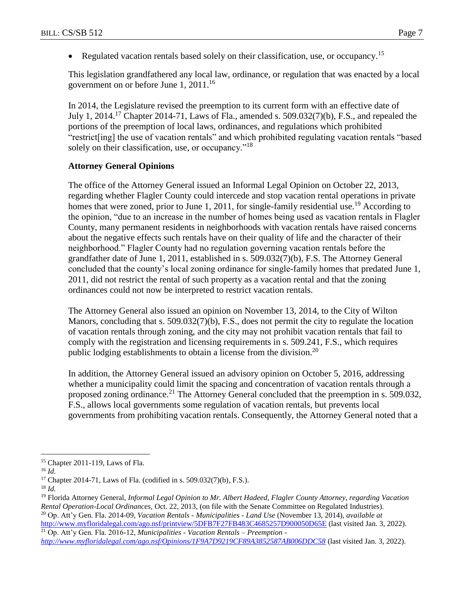Regulated vacation rentals based solely on their classification, use, or occupancy.<sup>15</sup>

This legislation grandfathered any local law, ordinance, or regulation that was enacted by a local government on or before June 1, 2011.<sup>16</sup>

In 2014, the Legislature revised the preemption to its current form with an effective date of July 1, 2014.<sup>17</sup> Chapter 2014-71, Laws of Fla., amended s. 509.032(7)(b), F.S., and repealed the portions of the preemption of local laws, ordinances, and regulations which prohibited "restrict[ing] the use of vacation rentals" and which prohibited regulating vacation rentals "based solely on their classification, use, or occupancy."<sup>18</sup>

#### **Attorney General Opinions**

The office of the Attorney General issued an Informal Legal Opinion on October 22, 2013, regarding whether Flagler County could intercede and stop vacation rental operations in private homes that were zoned, prior to June 1, 2011, for single-family residential use.<sup>19</sup> According to the opinion, "due to an increase in the number of homes being used as vacation rentals in Flagler County, many permanent residents in neighborhoods with vacation rentals have raised concerns about the negative effects such rentals have on their quality of life and the character of their neighborhood." Flagler County had no regulation governing vacation rentals before the grandfather date of June 1, 2011, established in s. 509.032(7)(b), F.S. The Attorney General concluded that the county's local zoning ordinance for single-family homes that predated June 1, 2011, did not restrict the rental of such property as a vacation rental and that the zoning ordinances could not now be interpreted to restrict vacation rentals.

The Attorney General also issued an opinion on November 13, 2014, to the City of Wilton Manors, concluding that s. 509.032(7)(b), F.S., does not permit the city to regulate the location of vacation rentals through zoning, and the city may not prohibit vacation rentals that fail to comply with the registration and licensing requirements in s. 509.241, F.S., which requires public lodging establishments to obtain a license from the division.<sup>20</sup>

In addition, the Attorney General issued an advisory opinion on October 5, 2016, addressing whether a municipality could limit the spacing and concentration of vacation rentals through a proposed zoning ordinance.<sup>21</sup> The Attorney General concluded that the preemption in s. 509.032, F.S., allows local governments some regulation of vacation rentals, but prevents local governments from prohibiting vacation rentals. Consequently, the Attorney General noted that a

<sup>15</sup> Chapter 2011-119, Laws of Fla.

<sup>16</sup> *Id.*

<sup>&</sup>lt;sup>17</sup> Chapter 2014-71, Laws of Fla. (codified in s. 509.032(7)(b), F.S.).

<sup>18</sup> *Id.*

<sup>19</sup> Florida Attorney General, *Informal Legal Opinion to Mr. Albert Hadeed, Flagler County Attorney, regarding Vacation Rental Operation-Local Ordinances,* Oct. 22, 2013, (on file with the Senate Committee on Regulated Industries). <sup>20</sup> Op. Att'y Gen. Fla. 2014-09, *Vacation Rentals - Municipalities - Land Use* (November 13, 2014), *available at* <http://www.myfloridalegal.com/ago.nsf/printview/5DFB7F27FB483C4685257D900050D65E> (last visited Jan. 3, 2022).

<sup>21</sup> Op. Att'y Gen. Fla. 2016-12, *Municipalities - Vacation Rentals – Preemption <http://www.myfloridalegal.com/ago.nsf/Opinions/1F9A7D9219CF89A3852587AB006DDC58>* (last visited Jan. 3, 2022).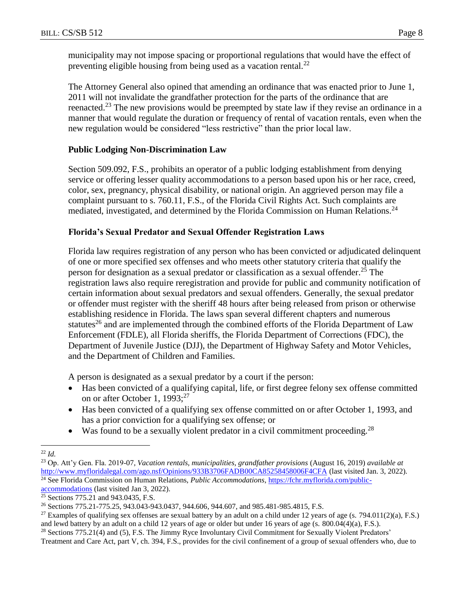municipality may not impose spacing or proportional regulations that would have the effect of preventing eligible housing from being used as a vacation rental.<sup>22</sup>

The Attorney General also opined that amending an ordinance that was enacted prior to June 1, 2011 will not invalidate the grandfather protection for the parts of the ordinance that are reenacted.<sup>23</sup> The new provisions would be preempted by state law if they revise an ordinance in a manner that would regulate the duration or frequency of rental of vacation rentals, even when the new regulation would be considered "less restrictive" than the prior local law.

## **Public Lodging Non-Discrimination Law**

Section 509.092, F.S., prohibits an operator of a public lodging establishment from denying service or offering lesser quality accommodations to a person based upon his or her race, creed, color, sex, pregnancy, physical disability, or national origin. An aggrieved person may file a complaint pursuant to s. 760.11, F.S., of the Florida Civil Rights Act. Such complaints are mediated, investigated, and determined by the Florida Commission on Human Relations.<sup>24</sup>

## **Florida's Sexual Predator and Sexual Offender Registration Laws**

Florida law requires registration of any person who has been convicted or adjudicated delinquent of one or more specified sex offenses and who meets other statutory criteria that qualify the person for designation as a sexual predator or classification as a sexual offender.<sup>25</sup> The registration laws also require reregistration and provide for public and community notification of certain information about sexual predators and sexual offenders. Generally, the sexual predator or offender must register with the sheriff 48 hours after being released from prison or otherwise establishing residence in Florida. The laws span several different chapters and numerous statutes<sup>26</sup> and are implemented through the combined efforts of the Florida Department of Law Enforcement (FDLE), all Florida sheriffs, the Florida Department of Corrections (FDC), the Department of Juvenile Justice (DJJ), the Department of Highway Safety and Motor Vehicles, and the Department of Children and Families.

A person is designated as a sexual predator by a court if the person:

- Has been convicted of a qualifying capital, life, or first degree felony sex offense committed on or after October 1, 1993;<sup>27</sup>
- Has been convicted of a qualifying sex offense committed on or after October 1, 1993, and has a prior conviction for a qualifying sex offense; or
- $\bullet$  Was found to be a sexually violent predator in a civil commitment proceeding.<sup>28</sup>

 $\overline{a}$ <sup>22</sup> *Id.*

<sup>23</sup> Op. Att'y Gen. Fla. 2019-07*, Vacation rentals, municipalities, grandfather provisions* (August 16, 2019) *available at* <http://www.myfloridalegal.com/ago.nsf/Opinions/933B3706FADB00CA85258458006F4CFA> (last visited Jan. 3, 2022). <sup>24</sup> See Florida Commission on Human Relations, *Public Accommodations*, [https://fchr.myflorida.com/public-](https://fchr.myflorida.com/public-accommodations)

[accommodations](https://fchr.myflorida.com/public-accommodations) (last visited Jan 3, 2022).

<sup>&</sup>lt;sup>25</sup> Sections 775.21 and 943.0435, F.S.

<sup>26</sup> Sections 775.21-775.25, 943.043-943.0437, 944.606, 944.607, and 985.481-985.4815, F.S.

<sup>&</sup>lt;sup>27</sup> Examples of qualifying sex offenses are sexual battery by an adult on a child under 12 years of age (s. 794.011(2)(a), F.S.) and lewd battery by an adult on a child 12 years of age or older but under 16 years of age (s. 800.04(4)(a), F.S.).

<sup>&</sup>lt;sup>28</sup> Sections 775.21(4) and (5), F.S. The Jimmy Ryce Involuntary Civil Commitment for Sexually Violent Predators'

Treatment and Care Act, part V, ch. 394, F.S., provides for the civil confinement of a group of sexual offenders who, due to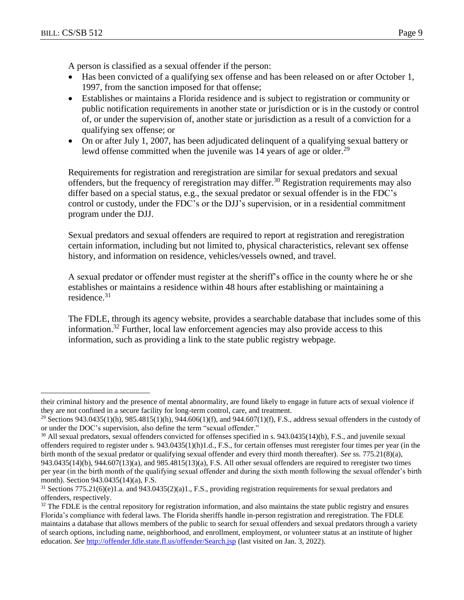$\overline{a}$ 

A person is classified as a sexual offender if the person:

- Has been convicted of a qualifying sex offense and has been released on or after October 1, 1997, from the sanction imposed for that offense;
- Establishes or maintains a Florida residence and is subject to registration or community or public notification requirements in another state or jurisdiction or is in the custody or control of, or under the supervision of, another state or jurisdiction as a result of a conviction for a qualifying sex offense; or
- On or after July 1, 2007, has been adjudicated delinquent of a qualifying sexual battery or lewd offense committed when the juvenile was 14 years of age or older.<sup>29</sup>

Requirements for registration and reregistration are similar for sexual predators and sexual offenders, but the frequency of reregistration may differ.<sup>30</sup> Registration requirements may also differ based on a special status, e.g., the sexual predator or sexual offender is in the FDC's control or custody, under the FDC's or the DJJ's supervision, or in a residential commitment program under the DJJ.

Sexual predators and sexual offenders are required to report at registration and reregistration certain information, including but not limited to, physical characteristics, relevant sex offense history, and information on residence, vehicles/vessels owned, and travel.

A sexual predator or offender must register at the sheriff's office in the county where he or she establishes or maintains a residence within 48 hours after establishing or maintaining a residence<sup>31</sup>

The FDLE, through its agency website, provides a searchable database that includes some of this information. <sup>32</sup> Further, local law enforcement agencies may also provide access to this information, such as providing a link to the state public registry webpage.

their criminal history and the presence of mental abnormality, are found likely to engage in future acts of sexual violence if they are not confined in a secure facility for long-term control, care, and treatment.

<sup>&</sup>lt;sup>29</sup> Sections 943.0435(1)(h), 985.4815(1)(h), 944.606(1)(f), and 944.607(1)(f), F.S., address sexual offenders in the custody of or under the DOC's supervision, also define the term "sexual offender."

 $30$  All sexual predators, sexual offenders convicted for offenses specified in s. 943.0435(14)(b), F.S., and juvenile sexual offenders required to register under s. 943.0435(1)(h)1.d., F.S., for certain offenses must reregister four times per year (in the birth month of the sexual predator or qualifying sexual offender and every third month thereafter). *See* ss. 775.21(8)(a), 943.0435(14)(b), 944.607(13)(a), and 985.4815(13)(a), F.S. All other sexual offenders are required to reregister two times per year (in the birth month of the qualifying sexual offender and during the sixth month following the sexual offender's birth month). Section 943.0435(14)(a), F.S.

<sup>31</sup> Sections 775.21(6)(e)1.a. and 943.0435(2)(a)1., F.S., providing registration requirements for sexual predators and offenders, respectively.

 $32$  The FDLE is the central repository for registration information, and also maintains the state public registry and ensures Florida's compliance with federal laws. The Florida sheriffs handle in-person registration and reregistration. The FDLE maintains a database that allows members of the public to search for sexual offenders and sexual predators through a variety of search options, including name, neighborhood, and enrollment, employment, or volunteer status at an institute of higher education. *See* <http://offender.fdle.state.fl.us/offender/Search.jsp> (last visited on Jan. 3, 2022).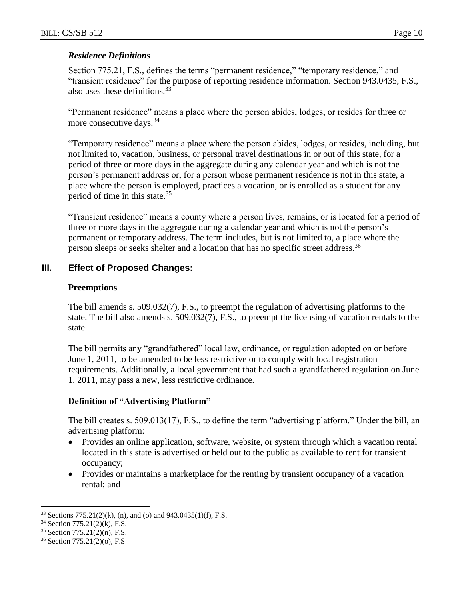## *Residence Definitions*

Section 775.21, F.S., defines the terms "permanent residence," "temporary residence," and "transient residence" for the purpose of reporting residence information. Section 943.0435, F.S., also uses these definitions.<sup>33</sup>

"Permanent residence" means a place where the person abides, lodges, or resides for three or more consecutive days.<sup>34</sup>

"Temporary residence" means a place where the person abides, lodges, or resides, including, but not limited to, vacation, business, or personal travel destinations in or out of this state, for a period of three or more days in the aggregate during any calendar year and which is not the person's permanent address or, for a person whose permanent residence is not in this state, a place where the person is employed, practices a vocation, or is enrolled as a student for any period of time in this state.<sup>35</sup>

"Transient residence" means a county where a person lives, remains, or is located for a period of three or more days in the aggregate during a calendar year and which is not the person's permanent or temporary address. The term includes, but is not limited to, a place where the person sleeps or seeks shelter and a location that has no specific street address.<sup>36</sup>

## **III. Effect of Proposed Changes:**

#### **Preemptions**

The bill amends s. 509.032(7), F.S., to preempt the regulation of advertising platforms to the state. The bill also amends s. 509.032(7), F.S., to preempt the licensing of vacation rentals to the state.

The bill permits any "grandfathered" local law, ordinance, or regulation adopted on or before June 1, 2011, to be amended to be less restrictive or to comply with local registration requirements. Additionally, a local government that had such a grandfathered regulation on June 1, 2011, may pass a new, less restrictive ordinance.

## **Definition of "Advertising Platform"**

The bill creates s. 509.013(17), F.S., to define the term "advertising platform." Under the bill, an advertising platform:

- Provides an online application, software, website, or system through which a vacation rental located in this state is advertised or held out to the public as available to rent for transient occupancy;
- Provides or maintains a marketplace for the renting by transient occupancy of a vacation rental; and

<sup>33</sup> Sections 775.21(2)(k), (n), and (o) and 943.0435(1)(f), F.S.

<sup>34</sup> Section 775.21(2)(k), F.S.

<sup>35</sup> Section 775.21(2)(n), F.S.

<sup>36</sup> Section 775.21(2)(o), F.S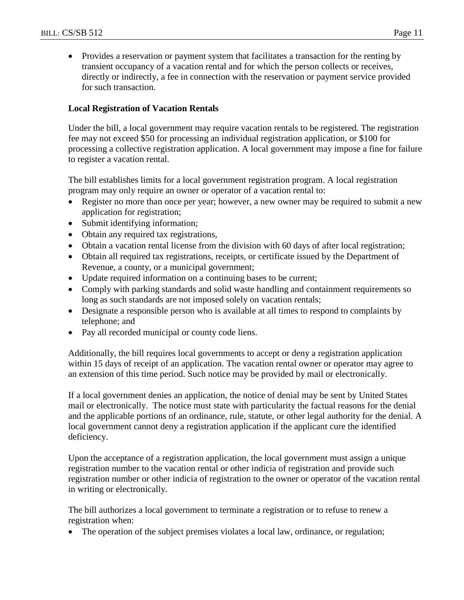• Provides a reservation or payment system that facilitates a transaction for the renting by transient occupancy of a vacation rental and for which the person collects or receives, directly or indirectly, a fee in connection with the reservation or payment service provided for such transaction.

## **Local Registration of Vacation Rentals**

Under the bill, a local government may require vacation rentals to be registered. The registration fee may not exceed \$50 for processing an individual registration application, or \$100 for processing a collective registration application. A local government may impose a fine for failure to register a vacation rental.

The bill establishes limits for a local government registration program. A local registration program may only require an owner or operator of a vacation rental to:

- Register no more than once per year; however, a new owner may be required to submit a new application for registration;
- Submit identifying information;
- Obtain any required tax registrations,
- Obtain a vacation rental license from the division with 60 days of after local registration;
- Obtain all required tax registrations, receipts, or certificate issued by the Department of Revenue, a county, or a municipal government;
- Update required information on a continuing bases to be current;
- Comply with parking standards and solid waste handling and containment requirements so long as such standards are not imposed solely on vacation rentals;
- Designate a responsible person who is available at all times to respond to complaints by telephone; and
- Pay all recorded municipal or county code liens.

Additionally, the bill requires local governments to accept or deny a registration application within 15 days of receipt of an application. The vacation rental owner or operator may agree to an extension of this time period. Such notice may be provided by mail or electronically.

If a local government denies an application, the notice of denial may be sent by United States mail or electronically. The notice must state with particularity the factual reasons for the denial and the applicable portions of an ordinance, rule, statute, or other legal authority for the denial. A local government cannot deny a registration application if the applicant cure the identified deficiency.

Upon the acceptance of a registration application, the local government must assign a unique registration number to the vacation rental or other indicia of registration and provide such registration number or other indicia of registration to the owner or operator of the vacation rental in writing or electronically.

The bill authorizes a local government to terminate a registration or to refuse to renew a registration when:

• The operation of the subject premises violates a local law, ordinance, or regulation;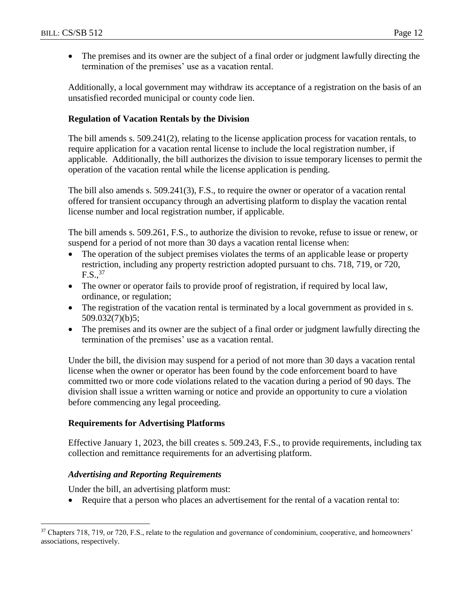The premises and its owner are the subject of a final order or judgment lawfully directing the termination of the premises' use as a vacation rental.

Additionally, a local government may withdraw its acceptance of a registration on the basis of an unsatisfied recorded municipal or county code lien.

## **Regulation of Vacation Rentals by the Division**

The bill amends s. 509.241(2), relating to the license application process for vacation rentals, to require application for a vacation rental license to include the local registration number, if applicable. Additionally, the bill authorizes the division to issue temporary licenses to permit the operation of the vacation rental while the license application is pending.

The bill also amends s. 509.241(3), F.S., to require the owner or operator of a vacation rental offered for transient occupancy through an advertising platform to display the vacation rental license number and local registration number, if applicable.

The bill amends s. 509.261, F.S., to authorize the division to revoke, refuse to issue or renew, or suspend for a period of not more than 30 days a vacation rental license when:

- The operation of the subject premises violates the terms of an applicable lease or property restriction, including any property restriction adopted pursuant to chs. 718, 719, or 720,  $F.S.,<sup>37</sup>$
- The owner or operator fails to provide proof of registration, if required by local law, ordinance, or regulation;
- The registration of the vacation rental is terminated by a local government as provided in s. 509.032(7)(b)5;
- The premises and its owner are the subject of a final order or judgment lawfully directing the termination of the premises' use as a vacation rental.

Under the bill, the division may suspend for a period of not more than 30 days a vacation rental license when the owner or operator has been found by the code enforcement board to have committed two or more code violations related to the vacation during a period of 90 days. The division shall issue a written warning or notice and provide an opportunity to cure a violation before commencing any legal proceeding.

## **Requirements for Advertising Platforms**

Effective January 1, 2023, the bill creates s. 509.243, F.S., to provide requirements, including tax collection and remittance requirements for an advertising platform.

## *Advertising and Reporting Requirements*

 $\overline{a}$ 

Under the bill, an advertising platform must:

• Require that a person who places an advertisement for the rental of a vacation rental to:

<sup>&</sup>lt;sup>37</sup> Chapters 718, 719, or 720, F.S., relate to the regulation and governance of condominium, cooperative, and homeowners' associations, respectively.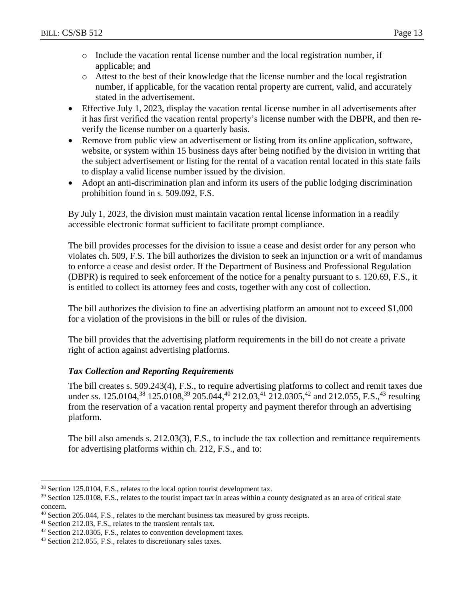- o Include the vacation rental license number and the local registration number, if applicable; and
- o Attest to the best of their knowledge that the license number and the local registration number, if applicable, for the vacation rental property are current, valid, and accurately stated in the advertisement.
- Effective July 1, 2023, display the vacation rental license number in all advertisements after it has first verified the vacation rental property's license number with the DBPR, and then reverify the license number on a quarterly basis.
- Remove from public view an advertisement or listing from its online application, software, website, or system within 15 business days after being notified by the division in writing that the subject advertisement or listing for the rental of a vacation rental located in this state fails to display a valid license number issued by the division.
- Adopt an anti-discrimination plan and inform its users of the public lodging discrimination prohibition found in s. 509.092, F.S.

By July 1, 2023, the division must maintain vacation rental license information in a readily accessible electronic format sufficient to facilitate prompt compliance.

The bill provides processes for the division to issue a cease and desist order for any person who violates ch. 509, F.S. The bill authorizes the division to seek an injunction or a writ of mandamus to enforce a cease and desist order. If the Department of Business and Professional Regulation (DBPR) is required to seek enforcement of the notice for a penalty pursuant to s. 120.69, F.S., it is entitled to collect its attorney fees and costs, together with any cost of collection.

The bill authorizes the division to fine an advertising platform an amount not to exceed \$1,000 for a violation of the provisions in the bill or rules of the division.

The bill provides that the advertising platform requirements in the bill do not create a private right of action against advertising platforms.

## *Tax Collection and Reporting Requirements*

The bill creates s. 509.243(4), F.S., to require advertising platforms to collect and remit taxes due under ss. 125.0104,<sup>38</sup> 125.0108,<sup>39</sup> 205.044,<sup>40</sup> 212.03,<sup>41</sup> 212.0305,<sup>42</sup> and 212.055, F.S.,<sup>43</sup> resulting from the reservation of a vacation rental property and payment therefor through an advertising platform.

The bill also amends s. 212.03(3), F.S., to include the tax collection and remittance requirements for advertising platforms within ch. 212, F.S., and to:

<sup>38</sup> Section 125.0104, F.S., relates to the local option tourist development tax.

<sup>&</sup>lt;sup>39</sup> Section 125.0108, F.S., relates to the tourist impact tax in areas within a county designated as an area of critical state concern.

<sup>&</sup>lt;sup>40</sup> Section 205.044, F.S., relates to the merchant business tax measured by gross receipts.

<sup>41</sup> Section 212.03, F.S., relates to the transient rentals tax.

<sup>42</sup> Section 212.0305, F.S., relates to convention development taxes.

<sup>43</sup> Section 212.055, F.S., relates to discretionary sales taxes.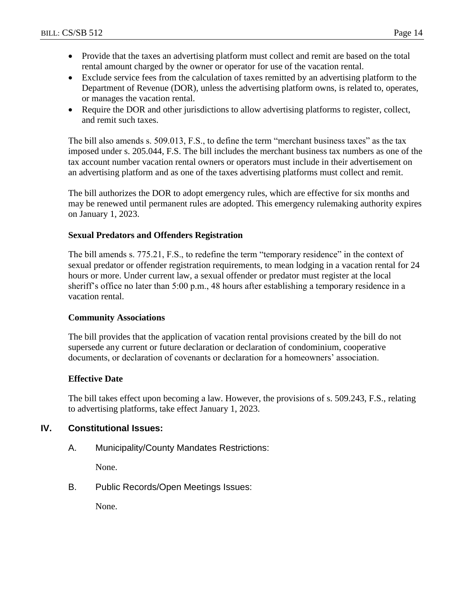- Provide that the taxes an advertising platform must collect and remit are based on the total rental amount charged by the owner or operator for use of the vacation rental.
- Exclude service fees from the calculation of taxes remitted by an advertising platform to the Department of Revenue (DOR), unless the advertising platform owns, is related to, operates, or manages the vacation rental.
- Require the DOR and other jurisdictions to allow advertising platforms to register, collect, and remit such taxes.

The bill also amends s. 509.013, F.S., to define the term "merchant business taxes" as the tax imposed under s. 205.044, F.S. The bill includes the merchant business tax numbers as one of the tax account number vacation rental owners or operators must include in their advertisement on an advertising platform and as one of the taxes advertising platforms must collect and remit.

The bill authorizes the DOR to adopt emergency rules, which are effective for six months and may be renewed until permanent rules are adopted. This emergency rulemaking authority expires on January 1, 2023.

#### **Sexual Predators and Offenders Registration**

The bill amends s. 775.21, F.S., to redefine the term "temporary residence" in the context of sexual predator or offender registration requirements, to mean lodging in a vacation rental for 24 hours or more. Under current law, a sexual offender or predator must register at the local sheriff's office no later than 5:00 p.m., 48 hours after establishing a temporary residence in a vacation rental.

#### **Community Associations**

The bill provides that the application of vacation rental provisions created by the bill do not supersede any current or future declaration or declaration of condominium, cooperative documents, or declaration of covenants or declaration for a homeowners' association.

#### **Effective Date**

The bill takes effect upon becoming a law. However, the provisions of s. 509.243, F.S., relating to advertising platforms, take effect January 1, 2023.

## **IV. Constitutional Issues:**

A. Municipality/County Mandates Restrictions:

None.

B. Public Records/Open Meetings Issues:

None.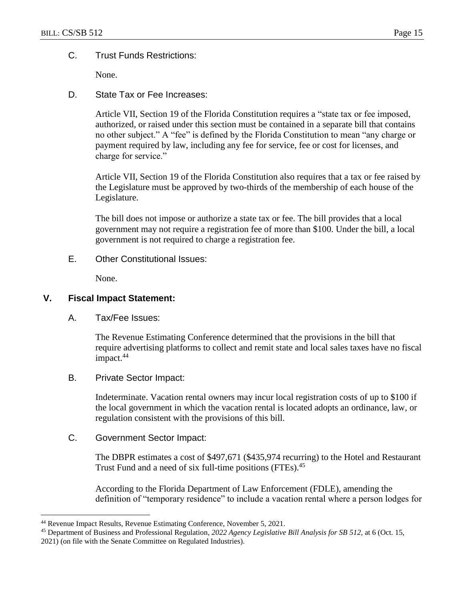#### C. Trust Funds Restrictions:

None.

D. State Tax or Fee Increases:

Article VII, Section 19 of the Florida Constitution requires a "state tax or fee imposed, authorized, or raised under this section must be contained in a separate bill that contains no other subject." A "fee" is defined by the Florida Constitution to mean "any charge or payment required by law, including any fee for service, fee or cost for licenses, and charge for service."

Article VII, Section 19 of the Florida Constitution also requires that a tax or fee raised by the Legislature must be approved by two-thirds of the membership of each house of the Legislature.

The bill does not impose or authorize a state tax or fee. The bill provides that a local government may not require a registration fee of more than \$100. Under the bill, a local government is not required to charge a registration fee.

E. Other Constitutional Issues:

None.

#### **V. Fiscal Impact Statement:**

 $\overline{a}$ 

A. Tax/Fee Issues:

The Revenue Estimating Conference determined that the provisions in the bill that require advertising platforms to collect and remit state and local sales taxes have no fiscal impact.<sup>44</sup>

B. Private Sector Impact:

Indeterminate. Vacation rental owners may incur local registration costs of up to \$100 if the local government in which the vacation rental is located adopts an ordinance, law, or regulation consistent with the provisions of this bill.

C. Government Sector Impact:

The DBPR estimates a cost of \$497,671 (\$435,974 recurring) to the Hotel and Restaurant Trust Fund and a need of six full-time positions (FTEs).<sup>45</sup>

According to the Florida Department of Law Enforcement (FDLE), amending the definition of "temporary residence" to include a vacation rental where a person lodges for

<sup>44</sup> Revenue Impact Results, Revenue Estimating Conference, November 5, 2021.

<sup>45</sup> Department of Business and Professional Regulation, *2022 Agency Legislative Bill Analysis for SB 512,* at 6 (Oct. 15, 2021) (on file with the Senate Committee on Regulated Industries).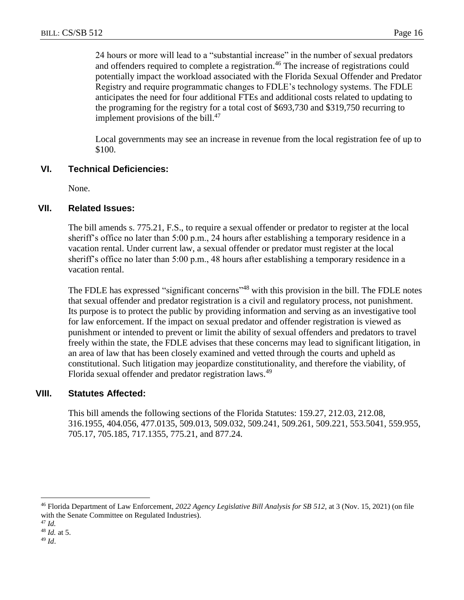24 hours or more will lead to a "substantial increase" in the number of sexual predators and offenders required to complete a registration.<sup>46</sup> The increase of registrations could potentially impact the workload associated with the Florida Sexual Offender and Predator Registry and require programmatic changes to FDLE's technology systems. The FDLE anticipates the need for four additional FTEs and additional costs related to updating to the programing for the registry for a total cost of \$693,730 and \$319,750 recurring to implement provisions of the bill. $47$ 

Local governments may see an increase in revenue from the local registration fee of up to \$100.

## **VI. Technical Deficiencies:**

None.

#### **VII. Related Issues:**

The bill amends s. 775.21, F.S., to require a sexual offender or predator to register at the local sheriff's office no later than 5:00 p.m., 24 hours after establishing a temporary residence in a vacation rental. Under current law, a sexual offender or predator must register at the local sheriff's office no later than 5:00 p.m., 48 hours after establishing a temporary residence in a vacation rental.

The FDLE has expressed "significant concerns"<sup>48</sup> with this provision in the bill. The FDLE notes that sexual offender and predator registration is a civil and regulatory process, not punishment. Its purpose is to protect the public by providing information and serving as an investigative tool for law enforcement. If the impact on sexual predator and offender registration is viewed as punishment or intended to prevent or limit the ability of sexual offenders and predators to travel freely within the state, the FDLE advises that these concerns may lead to significant litigation, in an area of law that has been closely examined and vetted through the courts and upheld as constitutional. Such litigation may jeopardize constitutionality, and therefore the viability, of Florida sexual offender and predator registration laws.<sup>49</sup>

## **VIII. Statutes Affected:**

This bill amends the following sections of the Florida Statutes: 159.27, 212.03, 212.08, 316.1955, 404.056, 477.0135, 509.013, 509.032, 509.241, 509.261, 509.221, 553.5041, 559.955, 705.17, 705.185, 717.1355, 775.21, and 877.24.

<sup>46</sup> Florida Department of Law Enforcement, *2022 Agency Legislative Bill Analysis for SB 512,* at 3 (Nov. 15, 2021) (on file with the Senate Committee on Regulated Industries).

<sup>47</sup> *Id.*

<sup>48</sup> *Id.* at 5.

<sup>49</sup> *Id*.